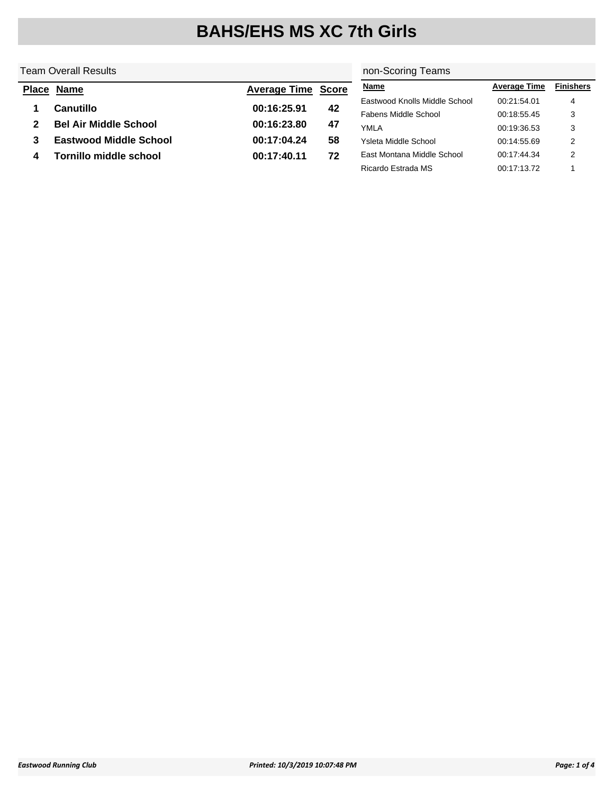### Team Overall Results

#### non-Scoring Teams

|   | <b>Place Name</b>             | <b>Average Time Score</b> |    | <b>Name</b>                   | <b>Average Time</b> | <b>Finishers</b> |
|---|-------------------------------|---------------------------|----|-------------------------------|---------------------|------------------|
|   | Canutillo                     | 00:16:25.91               | 42 | Eastwood Knolls Middle School | 00:21:54.01         | 4                |
|   |                               |                           |    | Fabens Middle School          | 00:18:55.45         | 3                |
|   | <b>Bel Air Middle School</b>  | 00:16:23.80               | 47 | YMLA                          | 00:19:36.53         | 3                |
|   | <b>Eastwood Middle School</b> | 00:17:04.24               | 58 | Ysleta Middle School          | 00:14:55.69         | 2                |
| 4 | Tornillo middle school        | 00:17:40.11               | 72 | East Montana Middle School    | 00:17:44.34         | ◠                |
|   |                               |                           |    | Ricardo Estrada MS            | 00:17:13.72         |                  |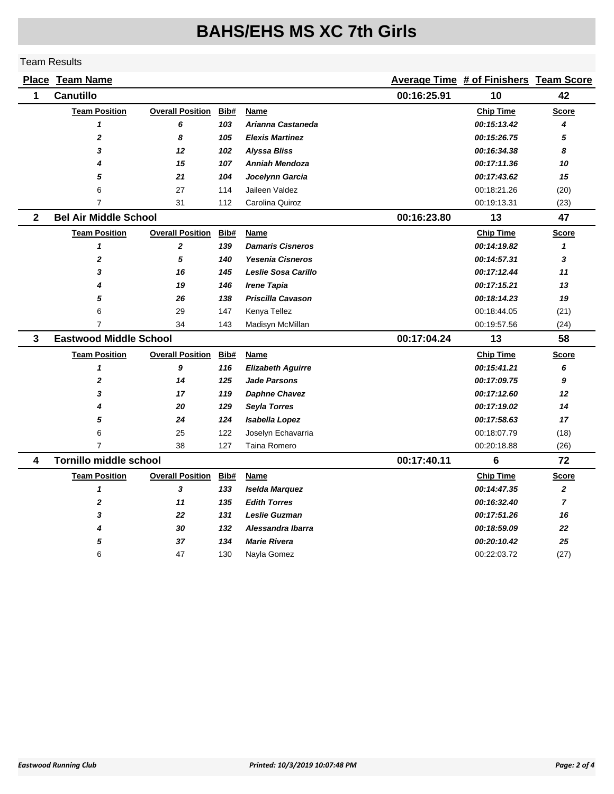|                | <b>Place Team Name</b>        |                         |      |                          |             | Average Time # of Finishers Team Score |                |
|----------------|-------------------------------|-------------------------|------|--------------------------|-------------|----------------------------------------|----------------|
| 1              | <b>Canutillo</b>              |                         |      |                          | 00:16:25.91 | 10                                     | 42             |
|                | <b>Team Position</b>          | <b>Overall Position</b> | Bib# | Name                     |             | <b>Chip Time</b>                       | <b>Score</b>   |
|                | $\mathbf{1}$                  | 6                       | 103  | Arianna Castaneda        |             | 00:15:13.42                            | 4              |
|                | $\overline{2}$                | 8                       | 105  | <b>Elexis Martinez</b>   |             | 00:15:26.75                            | 5              |
|                | 3                             | 12                      | 102  | <b>Alyssa Bliss</b>      |             | 00:16:34.38                            | 8              |
|                | 4                             | 15                      | 107  | <b>Anniah Mendoza</b>    |             | 00:17:11.36                            | 10             |
|                | 5                             | 21                      | 104  | Jocelynn Garcia          |             | 00:17:43.62                            | 15             |
|                | 6                             | 27                      | 114  | Jaileen Valdez           |             | 00:18:21.26                            | (20)           |
|                | $\overline{7}$                | 31                      | 112  | Carolina Quiroz          |             | 00:19:13.31                            | (23)           |
| $\overline{2}$ | <b>Bel Air Middle School</b>  |                         |      |                          | 00:16:23.80 | 13                                     | 47             |
|                | <b>Team Position</b>          | <b>Overall Position</b> | Bib# | Name                     |             | <b>Chip Time</b>                       | <b>Score</b>   |
|                | $\mathbf{1}$                  | $\mathbf{2}$            | 139  | <b>Damaris Cisneros</b>  |             | 00:14:19.82                            | $\mathbf{1}$   |
|                | $\overline{2}$                | 5                       | 140  | <b>Yesenia Cisneros</b>  |             | 00:14:57.31                            | 3              |
|                | 3                             | 16                      | 145  | Leslie Sosa Carillo      |             | 00:17:12.44                            | 11             |
|                | 4                             | 19                      | 146  | <b>Irene Tapia</b>       |             | 00:17:15.21                            | 13             |
|                | 5                             | 26                      | 138  | <b>Priscilla Cavason</b> |             | 00:18:14.23                            | 19             |
|                | 6                             | 29                      | 147  | Kenya Tellez             |             | 00:18:44.05                            | (21)           |
|                | $\overline{7}$                | 34                      | 143  | Madisyn McMillan         |             | 00:19:57.56                            | (24)           |
| $\mathbf{3}$   | <b>Eastwood Middle School</b> |                         |      |                          | 00:17:04.24 | 13                                     | 58             |
|                | <b>Team Position</b>          | <b>Overall Position</b> | Bib# | Name                     |             | <b>Chip Time</b>                       | <b>Score</b>   |
|                | $\mathbf{1}$                  | 9                       | 116  | <b>Elizabeth Aguirre</b> |             | 00:15:41.21                            | 6              |
|                | $\mathbf{2}$                  | 14                      | 125  | <b>Jade Parsons</b>      |             | 00:17:09.75                            | 9              |
|                | 3                             | 17                      | 119  | <b>Daphne Chavez</b>     |             | 00:17:12.60                            | 12             |
|                | 4                             | 20                      | 129  | Seyla Torres             |             | 00:17:19.02                            | 14             |
|                | 5                             | 24                      | 124  | Isabella Lopez           |             | 00:17:58.63                            | 17             |
|                | 6                             | 25                      | 122  | Joselyn Echavarria       |             | 00:18:07.79                            | (18)           |
|                | $\overline{7}$                | 38                      | 127  | Taina Romero             |             | 00:20:18.88                            | (26)           |
| 4              | <b>Tornillo middle school</b> |                         |      |                          | 00:17:40.11 | 6                                      | 72             |
|                | <b>Team Position</b>          | <b>Overall Position</b> | Bib# | Name                     |             | <b>Chip Time</b>                       | Score          |
|                | $\mathbf{1}$                  | 3                       | 133  | Iselda Marquez           |             | 00:14:47.35                            | $\overline{2}$ |
|                | $\overline{2}$                | 11                      | 135  | <b>Edith Torres</b>      |             | 00:16:32.40                            | $\overline{7}$ |
|                | 3                             | 22                      | 131  | <b>Leslie Guzman</b>     |             | 00:17:51.26                            | 16             |
|                | 4                             | 30                      | 132  | Alessandra Ibarra        |             | 00:18:59.09                            | 22             |
|                | 5                             | 37                      | 134  | <b>Marie Rivera</b>      |             | 00:20:10.42                            | 25             |
|                | 6                             | 47                      | 130  | Nayla Gomez              |             | 00:22:03.72                            | (27)           |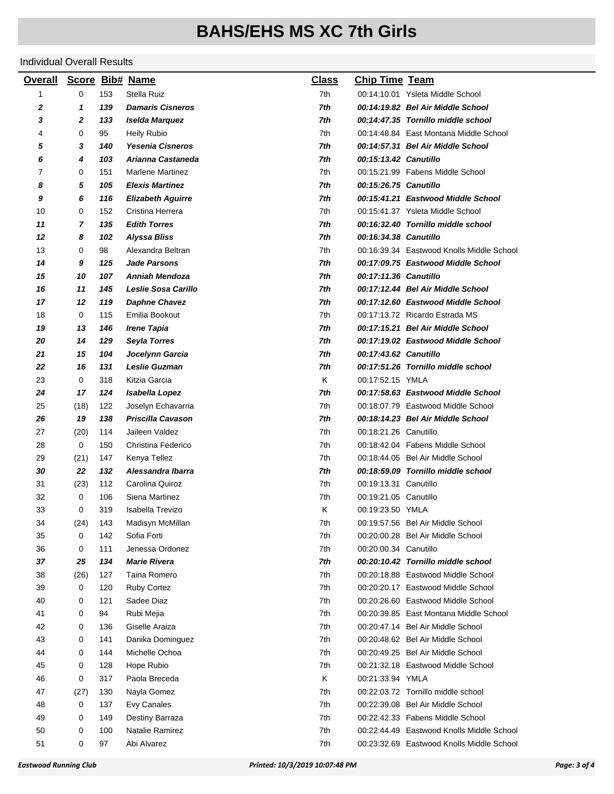| <b>Overall</b> | Score Bib# Name |     |                          | <u>Class</u> | <b>Chip Time Team</b> |                                           |
|----------------|-----------------|-----|--------------------------|--------------|-----------------------|-------------------------------------------|
| 1              | 0               | 153 | Stella Ruiz              | 7th          |                       | 00:14:10.01 Ysleta Middle School          |
| 2              | 1               | 139 | <b>Damaris Cisneros</b>  | 7th          |                       | 00:14:19.82 Bel Air Middle School         |
| 3              | 2               | 133 | Iselda Marquez           | 7th          |                       | 00:14:47.35 Tornillo middle school        |
| 4              | 0               | 95  | <b>Heily Rubio</b>       | 7th          |                       | 00:14:48.84 East Montana Middle School    |
| 5              | 3               | 140 | <b>Yesenia Cisneros</b>  | 7th          |                       | 00:14:57.31 Bel Air Middle School         |
| 6              | 4               | 103 | Arianna Castaneda        | 7th          | 00:15:13.42 Canutillo |                                           |
| 7              | 0               | 151 | <b>Marlene Martinez</b>  | 7th          |                       | 00:15:21.99 Fabens Middle School          |
| 8              | 5               | 105 | <b>Elexis Martinez</b>   | 7th          | 00:15:26.75 Canutillo |                                           |
| 9              | 6               | 116 | <b>Elizabeth Aguirre</b> | 7th          |                       | 00:15:41.21 Eastwood Middle School        |
| 10             | 0               | 152 | Cristina Herrera         | 7th          |                       | 00:15:41.37 Ysleta Middle School          |
| 11             | 7               | 135 | <b>Edith Torres</b>      | 7th          |                       | 00:16:32.40 Tornillo middle school        |
| 12             | 8               | 102 | <b>Alyssa Bliss</b>      | 7th          | 00:16:34.38 Canutillo |                                           |
| 13             | 0               | 98  | Alexandra Beltran        | 7th          |                       | 00:16:39.34 Eastwood Knolls Middle School |
| 14             | 9               | 125 | <b>Jade Parsons</b>      | 7th          |                       | 00:17:09.75 Eastwood Middle School        |
| 15             | 10              | 107 | <b>Anniah Mendoza</b>    | 7th          | 00:17:11.36 Canutillo |                                           |
| 16             | 11              | 145 | Leslie Sosa Carillo      | 7th          |                       | 00:17:12.44 Bel Air Middle School         |
| 17             | 12              | 119 | <b>Daphne Chavez</b>     | 7th          |                       | 00:17:12.60 Eastwood Middle School        |
| 18             | 0               | 115 | Emilia Bookout           | 7th          |                       | 00:17:13.72 Ricardo Estrada MS            |
| 19             | 13              | 146 | <b>Irene Tapia</b>       | 7th          |                       | 00:17:15.21 Bel Air Middle School         |
| 20             | 14              | 129 | <b>Seyla Torres</b>      | 7th          |                       | 00:17:19.02 Eastwood Middle School        |
| 21             | 15              | 104 | Jocelynn Garcia          | 7th          | 00:17:43.62 Canutillo |                                           |
| 22             | 16              | 131 | <b>Leslie Guzman</b>     | 7th          |                       | 00:17:51.26 Tornillo middle school        |
| 23             | 0               | 318 | Kitzia Garcia            | K            | 00:17:52.15 YMLA      |                                           |
| 24             | 17              | 124 | Isabella Lopez           | 7th          |                       | 00:17:58.63 Eastwood Middle School        |
| 25             | (18)            | 122 | Joselyn Echavarria       | 7th          |                       | 00:18:07.79 Eastwood Middle School        |
| 26             | 19              | 138 | <b>Priscilla Cavason</b> | 7th          |                       | 00:18:14.23 Bel Air Middle School         |
| 27             | (20)            | 114 | Jaileen Valdez           | 7th          | 00:18:21.26 Canutillo |                                           |
| 28             | 0               | 150 | Christina Federico       | 7th          |                       | 00:18:42.04 Fabens Middle School          |
| 29             | (21)            | 147 | Kenya Tellez             | 7th          |                       | 00:18:44.05 Bel Air Middle School         |
| 30             | 22              | 132 | Alessandra Ibarra        | 7th          |                       | 00:18:59.09 Tornillo middle school        |
| 31             | (23)            | 112 | Carolina Quiroz          | 7th          | 00:19:13.31 Canutillo |                                           |
| 32             | 0               | 106 | Siena Martinez           | 7th          | 00:19:21.05 Canutillo |                                           |
| 33             | 0               | 319 | Isabella Trevizo         | Κ            | 00:19:23.50 YMLA      |                                           |
| 34             | (24)            | 143 | Madisyn McMillan         | 7th          |                       | 00:19:57.56 Bel Air Middle School         |
| 35             | 0               | 142 | Sofia Forti              | 7th          |                       | 00:20:00.28 Bel Air Middle School         |
| 36             | 0               | 111 | Jenessa Ordonez          | 7th          | 00:20:00.34 Canutillo |                                           |
| 37             | 25              | 134 | <b>Marie Rivera</b>      | 7th          |                       | 00:20:10.42 Tornillo middle school        |
| 38             | (26)            | 127 | Taina Romero             | 7th          |                       | 00:20:18.88 Eastwood Middle School        |
| 39             | 0               | 120 | <b>Ruby Cortez</b>       | 7th          |                       | 00:20:20.17 Eastwood Middle School        |
| 40             | 0               | 121 | Sadee Diaz               | 7th          |                       | 00:20:26.60 Eastwood Middle School        |
| 41             | 0               | 94  | Rubi Mejia               | 7th          |                       | 00:20:39.85 East Montana Middle School    |
| 42             | 0               | 136 | Giselle Araiza           | 7th          |                       | 00:20:47.14 Bel Air Middle School         |
| 43             | 0               | 141 | Danika Dominguez         | 7th          |                       | 00:20:48.62 Bel Air Middle School         |
| 44             | 0               | 144 | Michelle Ochoa           | 7th          |                       | 00:20:49.25 Bel Air Middle School         |
| 45             | 0               | 128 | Hope Rubio               | 7th          |                       | 00:21:32.18 Eastwood Middle School        |
| 46             | 0               | 317 | Paola Breceda            | Κ            | 00:21:33.94 YMLA      |                                           |
| 47             | (27)            | 130 | Nayla Gomez              | 7th          |                       | 00:22:03.72 Tornillo middle school        |
| 48             | 0               | 137 | Evy Canales              | 7th          |                       | 00:22:39.08 Bel Air Middle School         |
| 49             | 0               | 149 | Destiny Barraza          | 7th          |                       | 00:22:42.33 Fabens Middle School          |
| 50             | 0               | 100 | Natalie Ramirez          | 7th          |                       | 00:22:44.49 Eastwood Knolls Middle School |
| 51             | 0               | 97  | Abi Alvarez              | 7th          |                       | 00:23:32.69 Eastwood Knolls Middle School |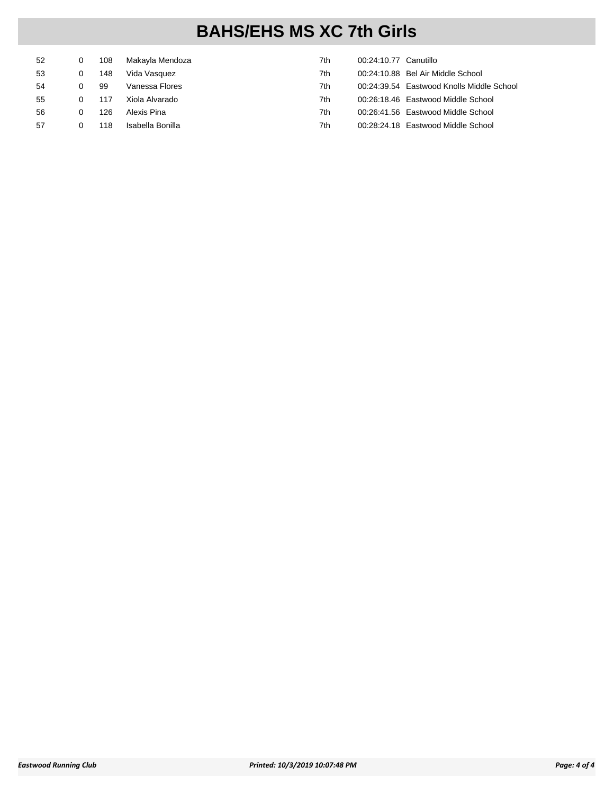| 52 | 108 | Makayla Mendoza  | 7th | 00:24:10.77 Canutillo |                                           |
|----|-----|------------------|-----|-----------------------|-------------------------------------------|
| 53 | 148 | Vida Vasquez     | 7th |                       | 00:24:10.88 Bel Air Middle School         |
| 54 | -99 | Vanessa Flores   | 7th |                       | 00:24:39.54 Eastwood Knolls Middle School |
| 55 | 117 | Xiola Alvarado   | 7th |                       | 00:26:18.46 Eastwood Middle School        |
| 56 | 126 | Alexis Pina      | 7th |                       | 00:26:41.56 Eastwood Middle School        |
| 57 | 118 | Isabella Bonilla | 7th |                       | 00:28:24.18 Eastwood Middle School        |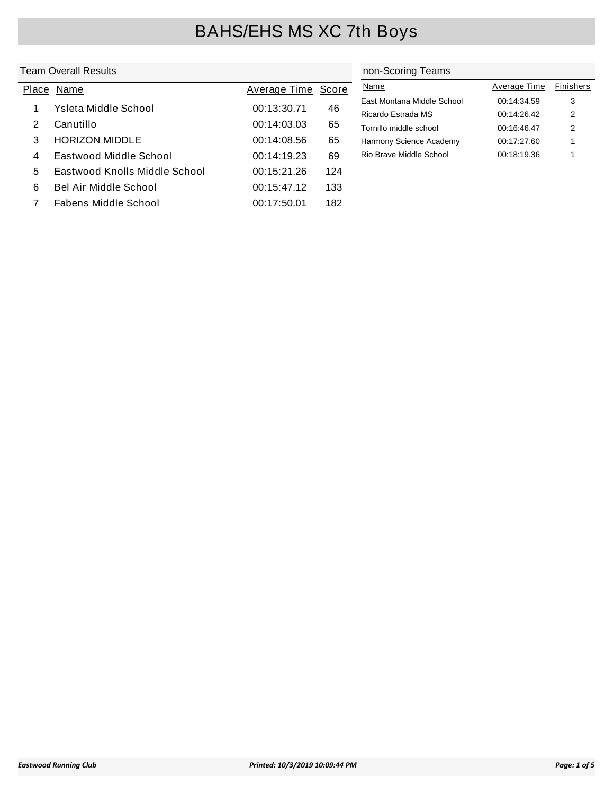### Team Overall Results

|   | Place Name                    | Average Time Score |     | N        |
|---|-------------------------------|--------------------|-----|----------|
| 1 | Ysleta Middle School          | 00:13:30.71        | 46  | Ea<br>Ri |
| 2 | Canutillo                     | 00:14:03.03        | 65  | To       |
| 3 | <b>HORIZON MIDDLE</b>         | 00:14:08.56        | 65  | Ha       |
| 4 | Eastwood Middle School        | 00:14:19.23        | 69  | Ri       |
| 5 | Eastwood Knolls Middle School | 00:15:21.26        | 124 |          |
| 6 | <b>Bel Air Middle School</b>  | 00:15:47.12        | 133 |          |
|   | Fabens Middle School          | 00:17:50.01        | 182 |          |

### non-Scoring Teams

| Name                       | Average Time | <b>Finishers</b> |
|----------------------------|--------------|------------------|
| East Montana Middle School | 00:14:34.59  | 3                |
| Ricardo Estrada MS         | 00:14:26.42  | 2                |
| Tornillo middle school     | 00:16:46.47  | 2                |
| Harmony Science Academy    | 00:17:27.60  | 1                |
| Rio Brave Middle School    | 00:18:19.36  | 1                |
|                            |              |                  |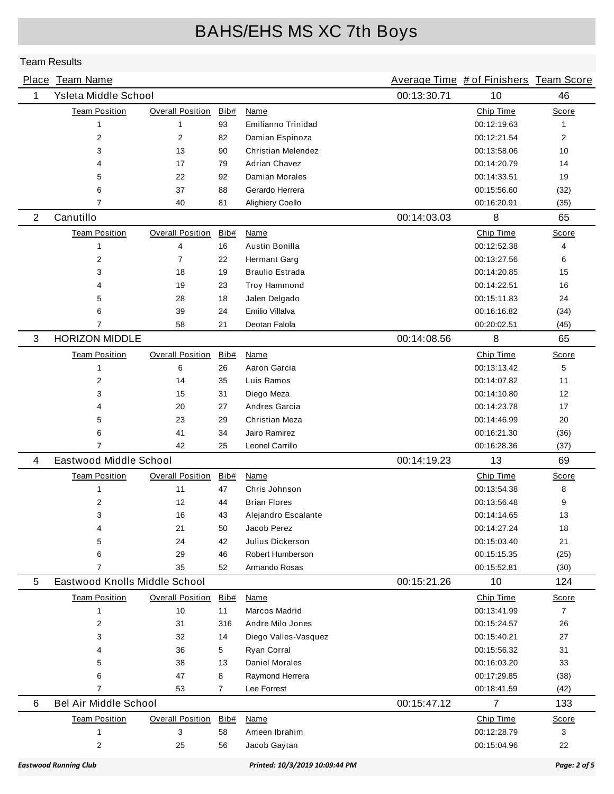|             | Place Team Name               |                         |      |                                |             | Average Time # of Finishers Team Score |                |
|-------------|-------------------------------|-------------------------|------|--------------------------------|-------------|----------------------------------------|----------------|
| $\mathbf 1$ | Ysleta Middle School          |                         |      |                                | 00:13:30.71 | 10                                     | 46             |
|             | <b>Team Position</b>          | <b>Overall Position</b> | Bib# | Name                           |             | Chip Time                              | Score          |
|             | $\mathbf{1}$                  | 1                       | 93   | Emilianno Trinidad             |             | 00:12:19.63                            | 1              |
|             | $\overline{2}$                | 2                       | 82   | Damian Espinoza                |             | 00:12:21.54                            | 2              |
|             | 3                             | 13                      | 90   | <b>Christian Melendez</b>      |             | 00:13:58.06                            | 10             |
|             | 4                             | 17                      | 79   | <b>Adrian Chavez</b>           |             | 00:14:20.79                            | 14             |
|             | 5                             | 22                      | 92   | Damian Morales                 |             | 00:14:33.51                            | 19             |
|             | 6                             | 37                      | 88   | Gerardo Herrera                |             | 00:15:56.60                            | (32)           |
|             | 7                             | 40                      | 81   | Alighiery Coello               |             | 00:16:20.91                            | (35)           |
| 2           | Canutillo                     |                         |      |                                | 00:14:03.03 | 8                                      | 65             |
|             | <b>Team Position</b>          | <b>Overall Position</b> | Bib# | Name                           |             | Chip Time                              | <b>Score</b>   |
|             | $\mathbf{1}$                  | 4                       | 16   | <b>Austin Bonilla</b>          |             | 00:12:52.38                            | 4              |
|             | $\overline{2}$                | $\overline{7}$          | 22   | Hermant Garg                   |             | 00:13:27.56                            | 6              |
|             | 3                             | 18                      | 19   | <b>Braulio Estrada</b>         |             | 00:14:20.85                            | 15             |
|             | 4                             | 19                      | 23   | <b>Troy Hammond</b>            |             | 00:14:22.51                            | 16             |
|             | 5                             | 28                      | 18   | Jalen Delgado                  |             | 00:15:11.83                            | 24             |
|             | 6                             | 39                      | 24   | Emilio Villalva                |             | 00:16:16.82                            | (34)           |
|             | 7                             | 58                      | 21   | Deotan Falola                  |             | 00:20:02.51                            | (45)           |
| 3           | <b>HORIZON MIDDLE</b>         |                         |      |                                | 00:14:08.56 | 8                                      | 65             |
|             | <b>Team Position</b>          | <b>Overall Position</b> | Bib# | Name                           |             | Chip Time                              | Score          |
|             | $\mathbf{1}$                  | 6                       | 26   | Aaron Garcia                   |             | 00:13:13.42                            | 5              |
|             | $\overline{2}$                | 14                      | 35   | Luis Ramos                     |             | 00:14:07.82                            | 11             |
|             | 3                             | 15                      | 31   | Diego Meza                     |             | 00:14:10.80                            | 12             |
|             | 4                             | 20                      | 27   | Andres Garcia                  |             | 00:14:23.78                            | 17             |
|             | 5                             | 23                      | 29   | Christian Meza                 |             | 00:14:46.99                            | 20             |
|             | 6                             | 41                      | 34   | Jairo Ramirez                  |             | 00:16:21.30                            | (36)           |
|             | $\overline{7}$                | 42                      | 25   | Leonel Carrillo                |             | 00:16:28.36                            | (37)           |
| 4           | Eastwood Middle School        |                         |      |                                | 00:14:19.23 | 13                                     | 69             |
|             | <b>Team Position</b>          | <b>Overall Position</b> | Bib# | Name                           |             | Chip Time                              | Score          |
|             | 1                             | 11                      | 47   | Chris Johnson                  |             | 00:13:54.38                            | 8              |
|             | $\overline{c}$                | 12                      | 44   | <b>Brian Flores</b>            |             | 00:13:56.48                            | 9              |
|             | 3                             | 16                      | 43   | Alejandro Escalante            |             | 00:14:14.65                            | 13             |
|             | 4                             | 21                      | 50   | Jacob Perez                    |             | 00:14:27.24                            | 18             |
|             | 5                             | 24                      | 42   | Julius Dickerson               |             | 00:15:03.40                            | 21             |
|             | 6                             | 29                      | 46   | Robert Humberson               |             | 00:15:15.35                            | (25)           |
|             | $\overline{7}$                | 35                      | 52   | Armando Rosas                  |             | 00:15:52.81                            | (30)           |
| 5           | Eastwood Knolls Middle School |                         |      |                                | 00:15:21.26 | 10                                     | 124            |
|             | <b>Team Position</b>          | <b>Overall Position</b> | Bib# | Name                           |             | Chip Time                              | Score          |
|             | $\mathbf{1}$                  | 10                      | 11   | Marcos Madrid                  |             | 00:13:41.99                            | $\overline{7}$ |
|             | $\overline{2}$                | 31                      | 316  | Andre Milo Jones               |             | 00:15:24.57                            | 26             |
|             | 3                             | 32                      | 14   | Diego Valles-Vasquez           |             | 00:15:40.21                            | 27             |
|             | 4                             | 36                      | 5    | Ryan Corral                    |             | 00:15:56.32                            | 31             |
|             | 5                             | 38                      | 13   | <b>Daniel Morales</b>          |             | 00:16:03.20                            | 33             |
|             | 6                             | 47                      | 8    | Raymond Herrera                |             | 00:17:29.85                            | (38)           |
|             | 7                             | 53                      | 7    | Lee Forrest                    |             | 00:18:41.59                            | (42)           |
| 6           | <b>Bel Air Middle School</b>  |                         |      |                                | 00:15:47.12 | 7                                      | 133            |
|             | <b>Team Position</b>          | <b>Overall Position</b> | Bib# | <b>Name</b>                    |             | Chip Time                              | Score          |
|             | 1                             | 3                       | 58   | Ameen Ibrahim                  |             | 00:12:28.79                            | 3              |
|             | $\overline{c}$                | 25                      | 56   | Jacob Gaytan                   |             | 00:15:04.96                            | 22             |
|             | <b>Eastwood Running Club</b>  |                         |      | Printed: 10/3/2019 10:09:44 PM |             |                                        | Page: 2 of 5   |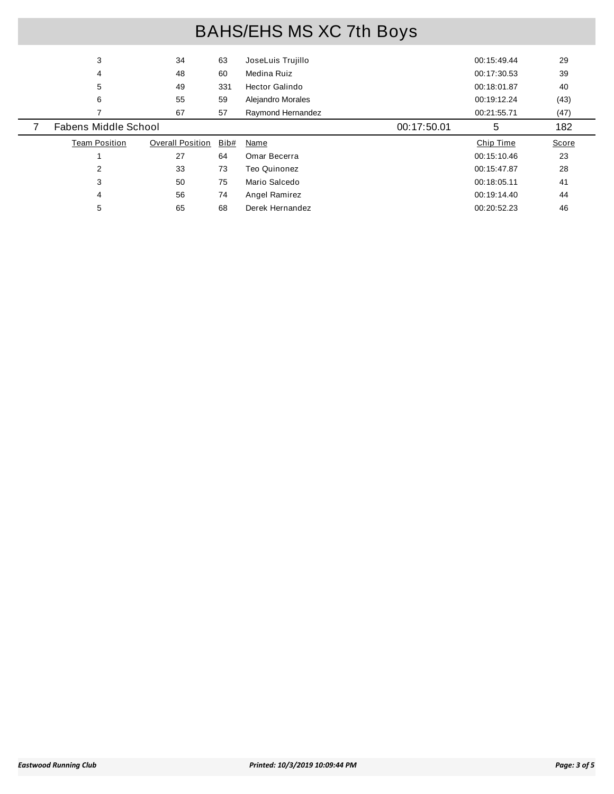|                                                                              | 3 | 34 | 63 | JoseLuis Trujillo | 00:15:49.44 | 29    |  |
|------------------------------------------------------------------------------|---|----|----|-------------------|-------------|-------|--|
| 60<br>Medina Ruiz<br>48<br>00:17:30.53<br>4                                  |   |    |    |                   |             | 39    |  |
| 5<br>331<br>Hector Galindo<br>49<br>00:18:01.87                              |   |    |    |                   |             | 40    |  |
|                                                                              | 6 | 55 | 59 | Alejandro Morales | 00:19:12.24 | (43)  |  |
|                                                                              |   | 67 | 57 | Raymond Hernandez | 00:21:55.71 | (47)  |  |
|                                                                              |   |    |    |                   |             |       |  |
| Fabens Middle School<br>5<br>00:17:50.01                                     |   |    |    |                   |             | 182   |  |
| <b>Team Position</b><br><b>Overall Position</b><br>Bib#<br>Chip Time<br>Name |   |    |    |                   |             | Score |  |
| 27<br>64<br>Omar Becerra<br>00:15:10.46                                      |   |    |    |                   |             | 23    |  |
| 2<br>33<br>73<br>Teo Quinonez<br>00:15:47.87                                 |   |    |    |                   |             | 28    |  |
| 3<br>75<br>Mario Salcedo<br>50<br>41<br>00:18:05.11                          |   |    |    |                   |             |       |  |
| 74<br>56<br>4<br>Angel Ramirez<br>00:19:14.40                                |   |    |    |                   |             | 44    |  |
|                                                                              |   |    |    |                   |             |       |  |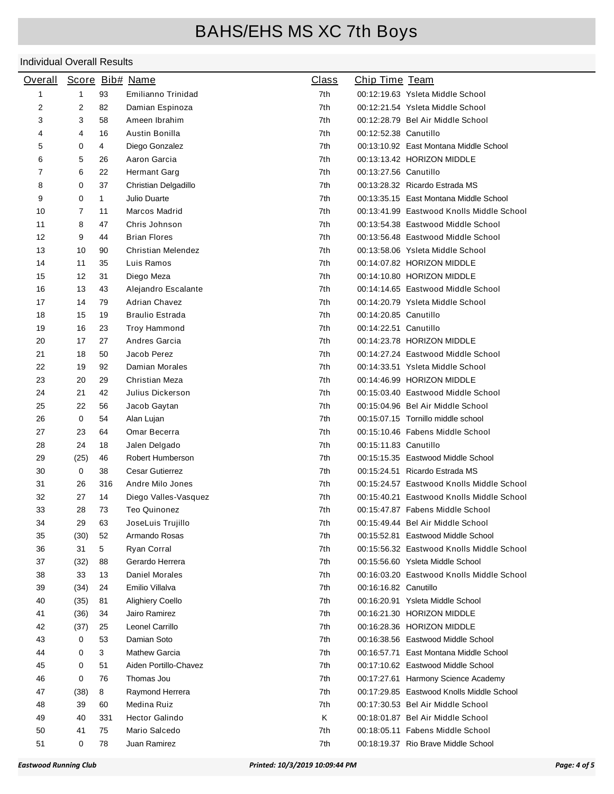| <b>Overall</b> |              |              | Score Bib# Name                      | <b>Class</b> | Chip Time Team        |                                                                        |
|----------------|--------------|--------------|--------------------------------------|--------------|-----------------------|------------------------------------------------------------------------|
| $\mathbf{1}$   | $\mathbf{1}$ | 93           | Emilianno Trinidad                   | 7th          |                       | 00:12:19.63 Ysleta Middle School                                       |
| 2              | 2            | 82           | Damian Espinoza                      | 7th          |                       | 00:12:21.54 Ysleta Middle School                                       |
| 3              | 3            | 58           | Ameen Ibrahim                        | 7th          |                       | 00:12:28.79 Bel Air Middle School                                      |
| 4              | 4            | 16           | Austin Bonilla                       | 7th          | 00:12:52.38 Canutillo |                                                                        |
| 5              | 0            | 4            | Diego Gonzalez                       | 7th          |                       | 00:13:10.92 East Montana Middle School                                 |
| 6              | 5            | 26           | Aaron Garcia                         | 7th          |                       | 00:13:13.42 HORIZON MIDDLE                                             |
| 7              | 6            | 22           | Hermant Garg                         | 7th          | 00:13:27.56 Canutillo |                                                                        |
| 8              | 0            | 37           | Christian Delgadillo                 | 7th          |                       | 00:13:28.32 Ricardo Estrada MS                                         |
| 9              | 0            | $\mathbf{1}$ | Julio Duarte                         | 7th          |                       | 00:13:35.15 East Montana Middle School                                 |
| 10             | 7            | 11           | Marcos Madrid                        | 7th          |                       | 00:13:41.99 Eastwood Knolls Middle School                              |
| 11             | 8            | 47           | Chris Johnson                        | 7th          |                       | 00:13:54.38 Eastwood Middle School                                     |
| 12             | 9            | 44           | <b>Brian Flores</b>                  | 7th          |                       | 00:13:56.48 Eastwood Middle School                                     |
| 13             | 10           | 90           | Christian Melendez                   | 7th          |                       | 00:13:58.06 Ysleta Middle School                                       |
| 14             | 11           | 35           | Luis Ramos                           | 7th          |                       | 00:14:07.82 HORIZON MIDDLE                                             |
| 15             | 12           | 31           | Diego Meza                           | 7th          |                       | 00:14:10.80 HORIZON MIDDLE                                             |
| 16             | 13           | 43           | Alejandro Escalante                  | 7th          |                       | 00:14:14.65 Eastwood Middle School                                     |
| 17             | 14           | 79           | <b>Adrian Chavez</b>                 | 7th          |                       | 00:14:20.79 Ysleta Middle School                                       |
| 18             | 15           | 19           | <b>Braulio Estrada</b>               | 7th          | 00:14:20.85 Canutillo |                                                                        |
| 19             | 16           | 23           | Troy Hammond                         | 7th          | 00:14:22.51 Canutillo |                                                                        |
| 20             | 17           | 27           | Andres Garcia                        | 7th          |                       | 00:14:23.78 HORIZON MIDDLE                                             |
| 21             | 18           | 50           | Jacob Perez                          | 7th          |                       | 00:14:27.24 Eastwood Middle School                                     |
| 22             | 19           | 92           | Damian Morales                       | 7th          |                       | 00:14:33.51 Ysleta Middle School                                       |
| 23             | 20           | 29           | Christian Meza                       | 7th          |                       | 00:14:46.99 HORIZON MIDDLE                                             |
| 24             | 21           | 42           | Julius Dickerson                     | 7th          |                       | 00:15:03.40 Eastwood Middle School                                     |
| 25             | 22           | 56           | Jacob Gaytan                         | 7th          |                       | 00:15:04.96 Bel Air Middle School                                      |
| 26             | 0            | 54           | Alan Lujan                           | 7th          |                       | 00:15:07.15 Tornillo middle school                                     |
| 27             | 23           | 64           | Omar Becerra                         | 7th          |                       | 00:15:10.46 Fabens Middle School                                       |
| 28             | 24           | 18           | Jalen Delgado                        | 7th          | 00:15:11.83 Canutillo |                                                                        |
| 29             | (25)         | 46           | Robert Humberson                     | 7th          |                       | 00:15:15.35 Eastwood Middle School                                     |
| 30             | 0            | 38           | <b>Cesar Gutierrez</b>               | 7th          |                       | 00:15:24.51 Ricardo Estrada MS                                         |
| 31             | 26           | 316          | Andre Milo Jones                     | 7th          |                       | 00:15:24.57 Eastwood Knolls Middle School                              |
| 32             | 27           | 14           | Diego Valles-Vasquez                 | 7th          |                       | 00:15:40.21 Eastwood Knolls Middle School                              |
| 33             | 28           | 73           | <b>Teo Quinonez</b>                  | 7th          |                       | 00:15:47.87 Fabens Middle School                                       |
| 34             | 29           | 63           | JoseLuis Trujillo                    | 7th          |                       | 00:15:49.44 Bel Air Middle School                                      |
| 35             | (30)         | 52           | Armando Rosas                        | 7th          |                       | 00:15:52.81 Eastwood Middle School                                     |
| 36             | 31           | 5            | Ryan Corral                          | 7th          |                       | 00:15:56.32 Eastwood Knolls Middle School                              |
| 37             | (32)         | 88           | Gerardo Herrera                      | 7th          |                       | 00:15:56.60 Ysleta Middle School                                       |
| 38             | 33           | 13           | Daniel Morales                       | 7th          |                       | 00:16:03.20 Eastwood Knolls Middle School                              |
| 39             | (34)         | 24           | Emilio Villalva                      | 7th          | 00:16:16.82 Canutillo |                                                                        |
| 40             | (35)         | 81           | <b>Alighiery Coello</b>              | 7th          |                       | 00:16:20.91 Ysleta Middle School                                       |
| 41             | (36)         | 34           | Jairo Ramirez                        | 7th          |                       | 00:16:21.30 HORIZON MIDDLE                                             |
| 42             | (37)         | 25           | Leonel Carrillo                      | 7th          |                       | 00:16:28.36 HORIZON MIDDLE                                             |
| 43             | 0            | 53           | Damian Soto                          | 7th          |                       | 00:16:38.56 Eastwood Middle School                                     |
| 44             | 0            |              | <b>Mathew Garcia</b>                 | 7th          |                       | 00:16:57.71 East Montana Middle School                                 |
|                | 0            | 3<br>51      | Aiden Portillo-Chavez                | 7th          |                       | 00:17:10.62 Eastwood Middle School                                     |
| 45             |              | 76           | Thomas Jou                           | 7th          |                       | 00:17:27.61 Harmony Science Academy                                    |
| 46             | 0            |              |                                      | 7th          |                       |                                                                        |
| 47             | (38)         | 8            | Raymond Herrera                      |              |                       | 00:17:29.85 Eastwood Knolls Middle School                              |
| 48             | 39<br>40     | 60           | Medina Ruiz<br><b>Hector Galindo</b> | 7th<br>Κ     |                       | 00:17:30.53 Bel Air Middle School<br>00:18:01.87 Bel Air Middle School |
| 49             |              | 331          |                                      |              |                       |                                                                        |
| 50             | 41           | 75           | Mario Salcedo                        | 7th          |                       | 00:18:05.11 Fabens Middle School                                       |
| 51             | 0            | 78           | Juan Ramirez                         | 7th          |                       | 00:18:19.37 Rio Brave Middle School                                    |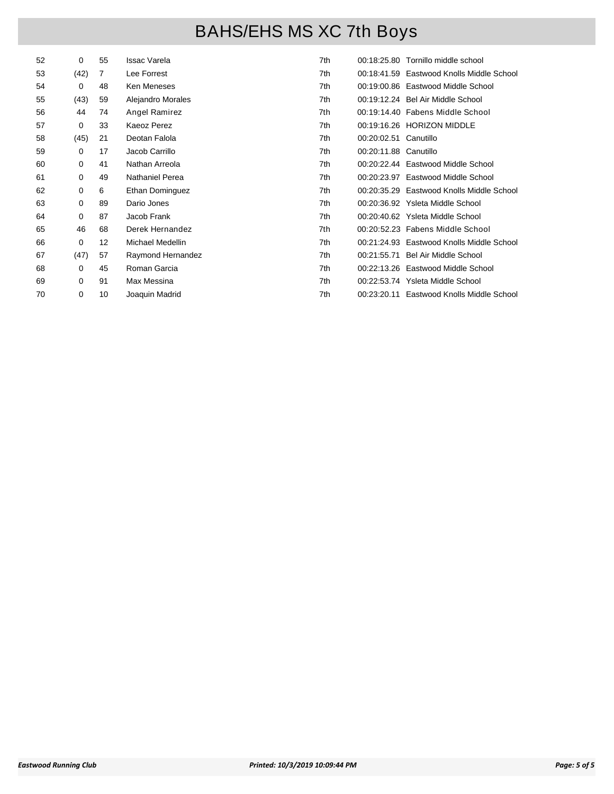| 52 | 0    | 55 | <b>Issac Varela</b>    | 7th |                       | 00:18:25.80 Tornillo middle school        |
|----|------|----|------------------------|-----|-----------------------|-------------------------------------------|
| 53 | (42) | 7  | Lee Forrest            | 7th |                       | 00:18:41.59 Eastwood Knolls Middle School |
| 54 | 0    | 48 | Ken Meneses            | 7th |                       | 00:19:00.86 Eastwood Middle School        |
| 55 | (43) | 59 | Alejandro Morales      | 7th |                       | 00:19:12.24 Bel Air Middle School         |
| 56 | 44   | 74 | Angel Ramirez          | 7th |                       | 00:19:14.40 Fabens Middle School          |
| 57 | 0    | 33 | Kaeoz Perez            | 7th |                       | 00:19:16.26 HORIZON MIDDLE                |
| 58 | (45) | 21 | Deotan Falola          | 7th | 00:20:02.51 Canutillo |                                           |
| 59 | 0    | 17 | Jacob Carrillo         | 7th | 00:20:11.88 Canutillo |                                           |
| 60 | 0    | 41 | Nathan Arreola         | 7th |                       | 00:20:22.44 Eastwood Middle School        |
| 61 | 0    | 49 | <b>Nathaniel Perea</b> | 7th |                       | 00:20:23.97 Eastwood Middle School        |
| 62 | 0    | 6  | Ethan Dominguez        | 7th |                       | 00:20:35.29 Eastwood Knolls Middle School |
| 63 | 0    | 89 | Dario Jones            | 7th |                       | 00:20:36.92 Ysleta Middle School          |
| 64 | 0    | 87 | Jacob Frank            | 7th |                       | 00:20:40.62 Ysleta Middle School          |
| 65 | 46   | 68 | Derek Hernandez        | 7th |                       | 00:20:52.23 Fabens Middle School          |
| 66 | 0    | 12 | Michael Medellin       | 7th |                       | 00:21:24.93 Eastwood Knolls Middle School |
| 67 | (47) | 57 | Raymond Hernandez      | 7th |                       | 00:21:55.71 Bel Air Middle School         |
| 68 | 0    | 45 | Roman Garcia           | 7th |                       | 00:22:13.26 Eastwood Middle School        |
| 69 | 0    | 91 | Max Messina            | 7th |                       | 00:22:53.74 Ysleta Middle School          |
| 70 | 0    | 10 | Joaquin Madrid         | 7th |                       | 00:23:20.11 Eastwood Knolls Middle School |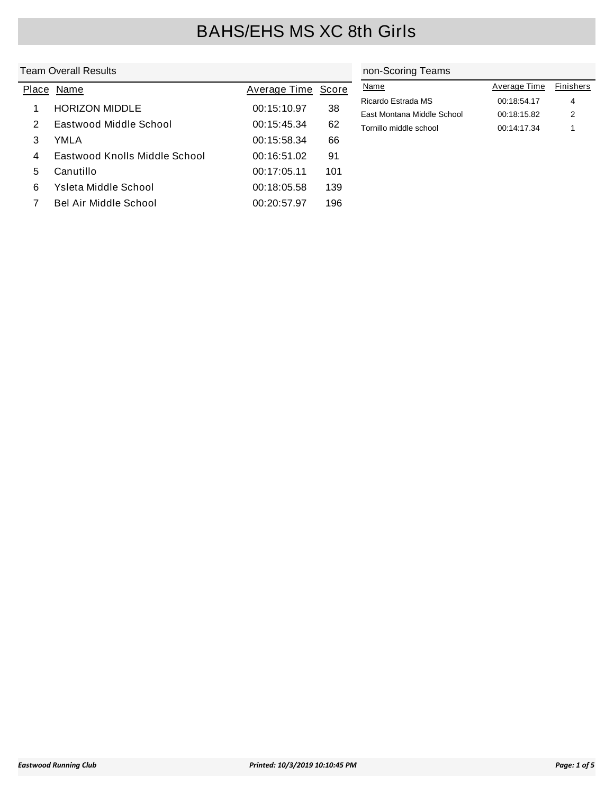### Team Overall Results

|       | Feam Overall Results          | non-Scoring Teams |       |                            |              |           |
|-------|-------------------------------|-------------------|-------|----------------------------|--------------|-----------|
| Place | Name                          | Average Time      | Score | <b>Name</b>                | Average Time | Finishers |
|       | <b>HORIZON MIDDLE</b>         | 00:15:10.97       | 38    | Ricardo Estrada MS         | 00:18:54.17  | 4         |
|       |                               |                   |       | East Montana Middle School | 00:18:15.82  | 2         |
| 2     | Eastwood Middle School        | 00:15:45.34       | 62    | Tornillo middle school     | 00:14:17.34  |           |
| 3     | YMLA                          | 00:15:58.34       | 66    |                            |              |           |
| 4     | Eastwood Knolls Middle School | 00:16:51.02       | 91    |                            |              |           |
| 5     | Canutillo                     | 00:17:05.11       | 101   |                            |              |           |
| 6     | Ysleta Middle School          | 00:18:05.58       | 139   |                            |              |           |
|       | Bel Air Middle School         | 00:20:57.97       | 196   |                            |              |           |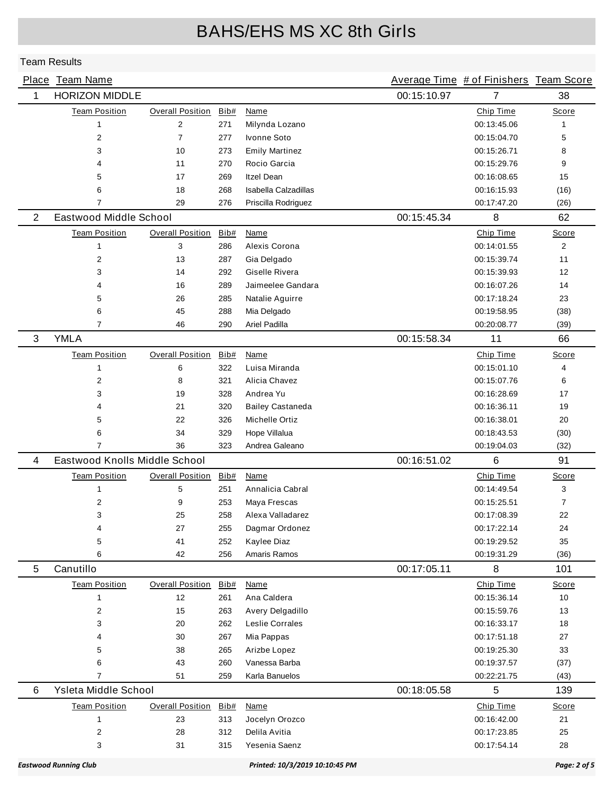|                | Place Team Name               |                         |      |                                |             | Average Time # of Finishers Team Score |                |
|----------------|-------------------------------|-------------------------|------|--------------------------------|-------------|----------------------------------------|----------------|
| 1              | <b>HORIZON MIDDLE</b>         |                         |      |                                | 00:15:10.97 | 7                                      | 38             |
|                | <b>Team Position</b>          | <b>Overall Position</b> | Bib# | Name                           |             | Chip Time                              | Score          |
|                | 1                             | $\overline{2}$          | 271  | Milynda Lozano                 |             | 00:13:45.06                            | 1              |
|                | 2                             | $\overline{7}$          | 277  | Ivonne Soto                    |             | 00:15:04.70                            | 5              |
|                | 3                             | 10                      | 273  | <b>Emily Martinez</b>          |             | 00:15:26.71                            | 8              |
|                | 4                             | 11                      | 270  | Rocio Garcia                   |             | 00:15:29.76                            | 9              |
|                | 5                             | 17                      | 269  | <b>Itzel Dean</b>              |             | 00:16:08.65                            | 15             |
|                | 6                             | 18                      | 268  | Isabella Calzadillas           |             | 00:16:15.93                            | (16)           |
|                | 7                             | 29                      | 276  | Priscilla Rodriguez            |             | 00:17:47.20                            | (26)           |
| $\overline{2}$ | Eastwood Middle School        |                         |      |                                | 00:15:45.34 | 8                                      | 62             |
|                | <b>Team Position</b>          | <b>Overall Position</b> | Bib# | <b>Name</b>                    |             | Chip Time                              | Score          |
|                | 1                             | 3                       | 286  | Alexis Corona                  |             | 00:14:01.55                            | 2              |
|                | 2                             | 13                      | 287  | Gia Delgado                    |             | 00:15:39.74                            | 11             |
|                | 3                             | 14                      | 292  | Giselle Rivera                 |             | 00:15:39.93                            | 12             |
|                | 4                             | 16                      | 289  | Jaimeelee Gandara              |             | 00:16:07.26                            | 14             |
|                | 5                             | 26                      | 285  | Natalie Aguirre                |             | 00:17:18.24                            | 23             |
|                | 6                             | 45                      | 288  | Mia Delgado                    |             | 00:19:58.95                            | (38)           |
|                | $\overline{7}$                | 46                      | 290  | Ariel Padilla                  |             | 00:20:08.77                            | (39)           |
| 3              | <b>YMLA</b>                   |                         |      |                                | 00:15:58.34 | 11                                     | 66             |
|                | <b>Team Position</b>          | <b>Overall Position</b> | Bib# | Name                           |             | Chip Time                              | Score          |
|                | 1                             | 6                       | 322  | Luisa Miranda                  |             | 00:15:01.10                            | 4              |
|                | $\overline{2}$                | 8                       | 321  | Alicia Chavez                  |             | 00:15:07.76                            | 6              |
|                | 3                             | 19                      | 328  | Andrea Yu                      |             | 00:16:28.69                            | 17             |
|                | 4                             | 21                      | 320  | <b>Bailey Castaneda</b>        |             | 00:16:36.11                            | 19             |
|                | 5                             | 22                      | 326  | Michelle Ortiz                 |             | 00:16:38.01                            | 20             |
|                | 6                             | 34                      | 329  | Hope Villalua                  |             | 00:18:43.53                            | (30)           |
|                | 7                             | 36                      | 323  | Andrea Galeano                 |             | 00:19:04.03                            | (32)           |
| 4              | Eastwood Knolls Middle School |                         |      |                                | 00:16:51.02 | 6                                      | 91             |
|                | <b>Team Position</b>          | <b>Overall Position</b> | Bib# | Name                           |             | Chip Time                              | Score          |
|                | $\mathbf{1}$                  | 5                       | 251  | Annalicia Cabral               |             | 00:14:49.54                            | 3              |
|                | 2                             | 9                       | 253  | Maya Frescas                   |             | 00:15:25.51                            | $\overline{7}$ |
|                | 3                             | 25                      | 258  | Alexa Valladarez               |             | 00:17:08.39                            | 22             |
|                | 4                             | 27                      | 255  | Dagmar Ordonez                 |             | 00:17:22.14                            | 24             |
|                | 5                             | 41                      | 252  | Kaylee Diaz                    |             | 00:19:29.52                            | 35             |
|                | 6                             | 42                      | 256  | Amaris Ramos                   |             | 00:19:31.29                            | (36)           |
| 5              | Canutillo                     |                         |      |                                | 00:17:05.11 | 8                                      | 101            |
|                | <b>Team Position</b>          | <b>Overall Position</b> | Bib# | <b>Name</b>                    |             | Chip Time                              | Score          |
|                | $\mathbf{1}$                  | 12                      | 261  | Ana Caldera                    |             | 00:15:36.14                            | 10             |
|                | 2                             | 15                      | 263  | Avery Delgadillo               |             | 00:15:59.76                            | 13             |
|                | 3                             | 20                      | 262  | Leslie Corrales                |             | 00:16:33.17                            | 18             |
|                | 4                             | 30                      | 267  | Mia Pappas                     |             | 00:17:51.18                            | 27             |
|                | 5                             | 38                      | 265  | Arizbe Lopez                   |             | 00:19:25.30                            | 33             |
|                | 6                             | 43                      | 260  | Vanessa Barba                  |             | 00:19:37.57                            | (37)           |
|                | $\overline{7}$                | 51                      | 259  | Karla Banuelos                 |             | 00:22:21.75                            | (43)           |
| 6              | Ysleta Middle School          |                         |      |                                | 00:18:05.58 | 5                                      | 139            |
|                | <b>Team Position</b>          | <b>Overall Position</b> | Bib# | <b>Name</b>                    |             | Chip Time                              | Score          |
|                | 1                             | 23                      | 313  | Jocelyn Orozco                 |             | 00:16:42.00                            | 21             |
|                | 2                             | 28                      | 312  | Delila Avitia                  |             | 00:17:23.85                            | 25             |
|                | 3                             | 31                      | 315  | Yesenia Saenz                  |             | 00:17:54.14                            | 28             |
|                | <b>Eastwood Running Club</b>  |                         |      | Printed: 10/3/2019 10:10:45 PM |             |                                        | Page: 2 of 5   |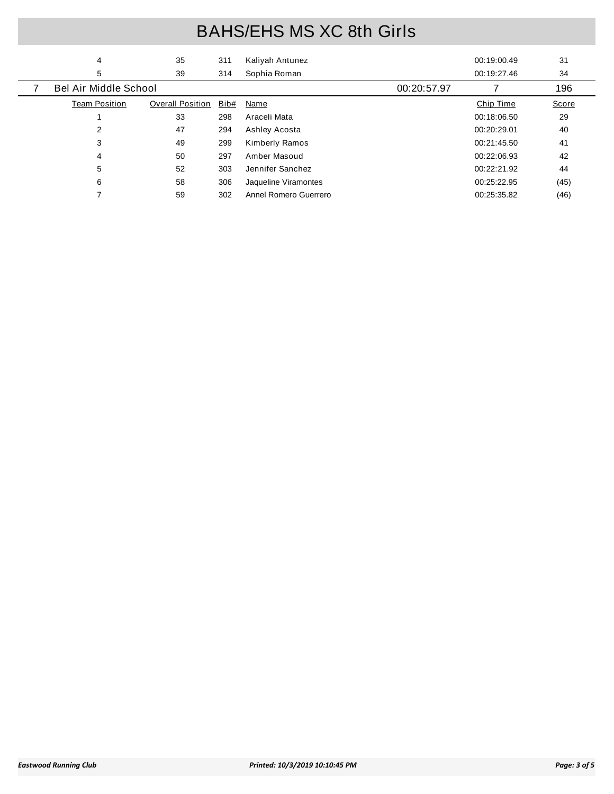| 4                            | 35                      | 311  | Kaliyah Antunez       |             | 00:19:00.49 | 31    |
|------------------------------|-------------------------|------|-----------------------|-------------|-------------|-------|
| 5                            | 39                      | 314  | Sophia Roman          |             | 00:19:27.46 | 34    |
| <b>Bel Air Middle School</b> |                         |      |                       | 00:20:57.97 |             | 196   |
| <b>Team Position</b>         | <b>Overall Position</b> | Bib# | Name                  |             | Chip Time   | Score |
|                              | 33                      | 298  | Araceli Mata          |             | 00:18:06.50 | 29    |
| 2                            | 47                      | 294  | Ashley Acosta         |             | 00:20:29.01 | 40    |
| 3                            | 49                      | 299  | <b>Kimberly Ramos</b> |             | 00:21:45.50 | 41    |
| 4                            | 50                      | 297  | Amber Masoud          |             | 00:22:06.93 | 42    |
| 5                            | 52                      | 303  | Jennifer Sanchez      |             | 00:22:21.92 | 44    |
| 6                            | 58                      | 306  | Jaqueline Viramontes  |             | 00:25:22.95 | (45)  |
|                              | 59                      | 302  | Annel Romero Guerrero |             | 00:25:35.82 | (46)  |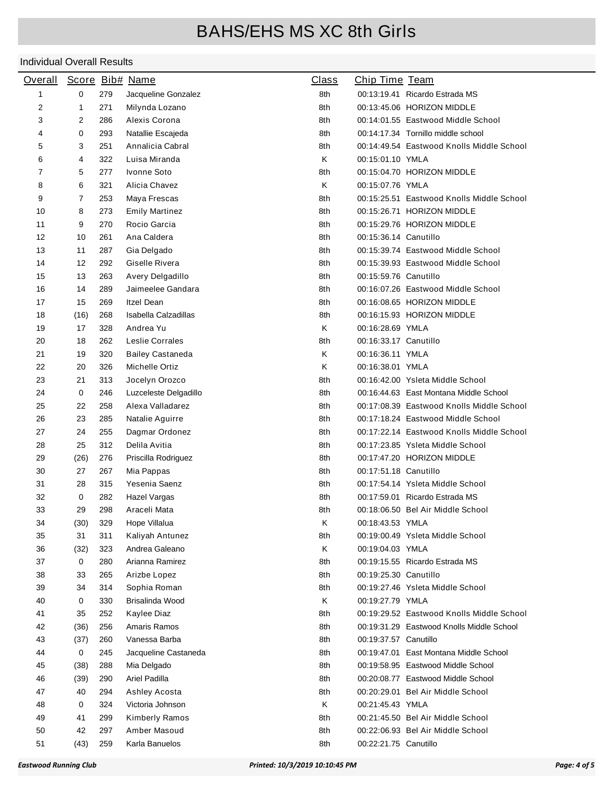| <b>Overall</b> |      |     | Score Bib# Name         | <b>Class</b> | Chip Time Team        |                                           |
|----------------|------|-----|-------------------------|--------------|-----------------------|-------------------------------------------|
| 1              | 0    | 279 | Jacqueline Gonzalez     | 8th          |                       | 00:13:19.41 Ricardo Estrada MS            |
| 2              | 1    | 271 | Milynda Lozano          | 8th          |                       | 00:13:45.06 HORIZON MIDDLE                |
| 3              | 2    | 286 | Alexis Corona           | 8th          |                       | 00:14:01.55 Eastwood Middle School        |
| 4              | 0    | 293 | Natallie Escajeda       | 8th          |                       | 00:14:17.34 Tornillo middle school        |
| 5              | 3    | 251 | Annalicia Cabral        | 8th          |                       | 00:14:49.54 Eastwood Knolls Middle School |
| 6              | 4    | 322 | Luisa Miranda           | Κ            | 00:15:01.10 YMLA      |                                           |
| 7              | 5    | 277 | Ivonne Soto             | 8th          |                       | 00:15:04.70 HORIZON MIDDLE                |
| 8              | 6    | 321 | Alicia Chavez           | Κ            | 00:15:07.76 YMLA      |                                           |
| 9              | 7    | 253 | Maya Frescas            | 8th          |                       | 00:15:25.51 Eastwood Knolls Middle School |
| 10             | 8    | 273 | <b>Emily Martinez</b>   | 8th          |                       | 00:15:26.71 HORIZON MIDDLE                |
| 11             | 9    | 270 | Rocio Garcia            | 8th          |                       | 00:15:29.76 HORIZON MIDDLE                |
| 12             | 10   | 261 | Ana Caldera             | 8th          | 00:15:36.14 Canutillo |                                           |
| 13             | 11   | 287 | Gia Delgado             | 8th          |                       | 00:15:39.74 Eastwood Middle School        |
| 14             | 12   | 292 | Giselle Rivera          | 8th          |                       | 00:15:39.93 Eastwood Middle School        |
| 15             | 13   | 263 | Avery Delgadillo        | 8th          | 00:15:59.76 Canutillo |                                           |
| 16             | 14   | 289 | Jaimeelee Gandara       | 8th          |                       | 00:16:07.26 Eastwood Middle School        |
| 17             | 15   | 269 | <b>Itzel Dean</b>       | 8th          |                       | 00:16:08.65 HORIZON MIDDLE                |
| 18             | (16) | 268 | Isabella Calzadillas    | 8th          |                       | 00:16:15.93 HORIZON MIDDLE                |
| 19             | 17   | 328 | Andrea Yu               | Κ            | 00:16:28.69 YMLA      |                                           |
| 20             | 18   | 262 | Leslie Corrales         | 8th          | 00:16:33.17 Canutillo |                                           |
| 21             | 19   | 320 | <b>Bailey Castaneda</b> | Κ            | 00:16:36.11 YMLA      |                                           |
| 22             | 20   | 326 | Michelle Ortiz          | Κ            | 00:16:38.01 YMLA      |                                           |
| 23             | 21   | 313 | Jocelyn Orozco          | 8th          |                       | 00:16:42.00 Ysleta Middle School          |
| 24             | 0    | 246 | Luzceleste Delgadillo   | 8th          |                       | 00:16:44.63 East Montana Middle School    |
| 25             | 22   | 258 | Alexa Valladarez        | 8th          |                       | 00:17:08.39 Eastwood Knolls Middle School |
| 26             | 23   | 285 | Natalie Aguirre         | 8th          |                       | 00:17:18.24 Eastwood Middle School        |
| 27             | 24   | 255 | Dagmar Ordonez          | 8th          |                       | 00:17:22.14 Eastwood Knolls Middle School |
| 28             | 25   | 312 | Delila Avitia           | 8th          |                       | 00:17:23.85 Ysleta Middle School          |
| 29             | (26) | 276 | Priscilla Rodriguez     | 8th          |                       | 00:17:47.20 HORIZON MIDDLE                |
| 30             | 27   | 267 | Mia Pappas              | 8th          | 00:17:51.18 Canutillo |                                           |
| 31             | 28   | 315 | Yesenia Saenz           | 8th          |                       | 00:17:54.14 Ysleta Middle School          |
| 32             | 0    | 282 | Hazel Vargas            | 8th          |                       | 00:17:59.01 Ricardo Estrada MS            |
| 33             | 29   | 298 | Araceli Mata            | 8th          |                       | 00:18:06.50 Bel Air Middle School         |
| 34             | (30) | 329 | Hope Villalua           | Κ            | 00:18:43.53 YMLA      |                                           |
| 35             | 31   | 311 | Kaliyah Antunez         | 8th          |                       | 00:19:00.49 Ysleta Middle School          |
| 36             | (32) | 323 | Andrea Galeano          | Κ            | 00:19:04.03 YMLA      |                                           |
| 37             | 0    | 280 | Arianna Ramirez         | 8th          |                       | 00:19:15.55 Ricardo Estrada MS            |
| 38             | 33   | 265 | Arizbe Lopez            | 8th          | 00:19:25.30 Canutillo |                                           |
| 39             | 34   | 314 | Sophia Roman            | 8th          |                       | 00:19:27.46 Ysleta Middle School          |
| 40             | 0    | 330 | Brisalinda Wood         | Κ            | 00:19:27.79 YMLA      |                                           |
| 41             | 35   | 252 | Kaylee Diaz             | 8th          |                       | 00:19:29.52 Eastwood Knolls Middle School |
| 42             | (36) | 256 | Amaris Ramos            | 8th          |                       | 00:19:31.29 Eastwood Knolls Middle School |
| 43             | (37) | 260 | Vanessa Barba           | 8th          | 00:19:37.57 Canutillo |                                           |
| 44             | 0    | 245 | Jacqueline Castaneda    | 8th          |                       | 00:19:47.01 East Montana Middle School    |
| 45             | (38) | 288 | Mia Delgado             | 8th          |                       | 00:19:58.95 Eastwood Middle School        |
| 46             | (39) | 290 | Ariel Padilla           | 8th          |                       | 00:20:08.77 Eastwood Middle School        |
| 47             | 40   | 294 | Ashley Acosta           | 8th          |                       | 00:20:29.01 Bel Air Middle School         |
| 48             | 0    | 324 | Victoria Johnson        | Κ            | 00:21:45.43 YMLA      |                                           |
| 49             | 41   | 299 | Kimberly Ramos          | 8th          |                       | 00:21:45.50 Bel Air Middle School         |
| 50             | 42   | 297 | Amber Masoud            | 8th          |                       | 00:22:06.93 Bel Air Middle School         |
| 51             | (43) | 259 | Karla Banuelos          | 8th          | 00:22:21.75 Canutillo |                                           |
|                |      |     |                         |              |                       |                                           |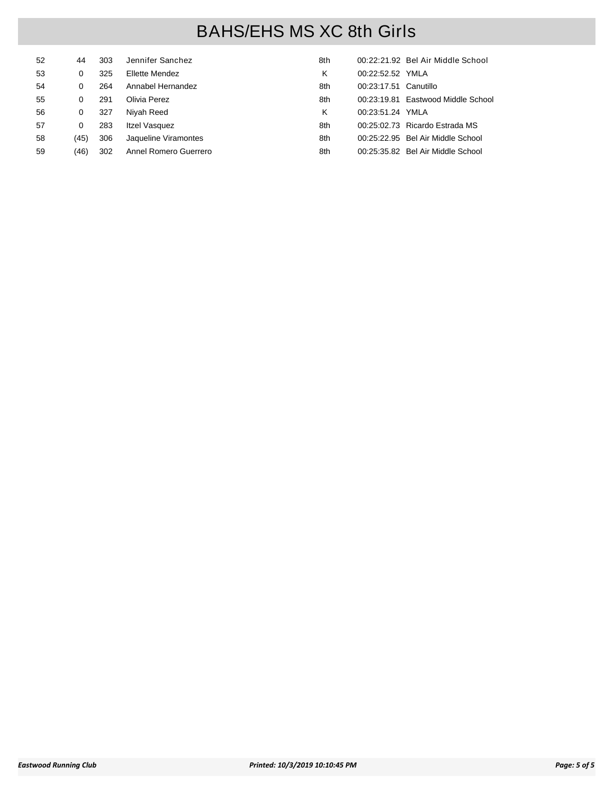| 52 | 44   | 303 | Jennifer Sanchez      | 8th |                       | 00:22:21.92 Bel Air Middle School  |
|----|------|-----|-----------------------|-----|-----------------------|------------------------------------|
| 53 | 0    | 325 | Ellette Mendez        | κ   | 00:22:52.52 YMLA      |                                    |
| 54 | 0    | 264 | Annabel Hernandez     | 8th | 00:23:17.51 Canutillo |                                    |
| 55 | 0    | 291 | Olivia Perez          | 8th |                       | 00:23:19.81 Eastwood Middle School |
| 56 | 0    | 327 | Niyah Reed            | κ   | 00:23:51.24 YMLA      |                                    |
| 57 | 0    | 283 | Itzel Vasquez         | 8th |                       | 00:25:02.73 Ricardo Estrada MS     |
| 58 | (45) | 306 | Jaqueline Viramontes  | 8th |                       | 00:25:22.95 Bel Air Middle School  |
| 59 | (46) | 302 | Annel Romero Guerrero | 8th |                       | 00:25:35.82 Bel Air Middle School  |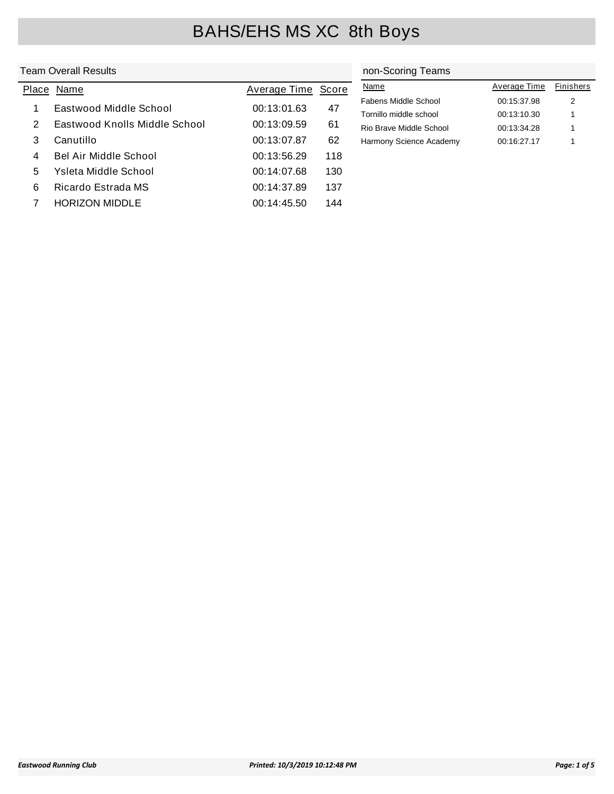### Team Overall Results

|   | Place Name                    | Average Time Score |     |
|---|-------------------------------|--------------------|-----|
| 1 | Eastwood Middle School        | 00:13:01.63        | 47  |
| 2 | Eastwood Knolls Middle School | 00:13:09.59        | 61  |
| 3 | Canutillo                     | 00:13:07.87        | 62  |
| 4 | Bel Air Middle School         | 00:13:56.29        | 118 |
| 5 | Ysleta Middle School          | 00:14:07.68        | 130 |
| 6 | Ricardo Estrada MS            | 00:14:37.89        | 137 |
|   | HORIZON MIDDLE                | 00:14:45.50        | 144 |

### non-Scoring Teams

| Name                    | Average Time | <b>Finishers</b> |
|-------------------------|--------------|------------------|
| Fabens Middle School    | 00:15:37.98  | 2                |
| Tornillo middle school  | 00:13:10.30  | 1                |
| Rio Brave Middle School | 00:13:34.28  | 1                |
| Harmony Science Academy | 00:16:27.17  | 1                |
|                         |              |                  |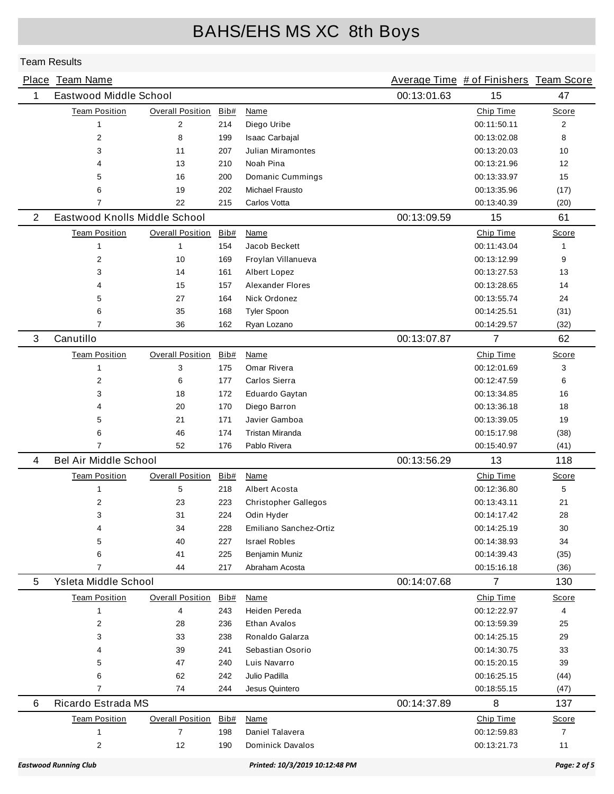|   | Place Team Name               |                         |      |                                |             | Average Time # of Finishers Team Score |                   |
|---|-------------------------------|-------------------------|------|--------------------------------|-------------|----------------------------------------|-------------------|
| 1 | Eastwood Middle School        |                         |      |                                | 00:13:01.63 | 15                                     | 47                |
|   | <b>Team Position</b>          | <b>Overall Position</b> | Bib# | <b>Name</b>                    |             | Chip Time                              | Score             |
|   | $\mathbf{1}$                  | $\overline{2}$          | 214  | Diego Uribe                    |             | 00:11:50.11                            | $\overline{2}$    |
|   | $\overline{2}$                | 8                       | 199  | Isaac Carbajal                 |             | 00:13:02.08                            | 8                 |
|   | 3                             | 11                      | 207  | <b>Julian Miramontes</b>       |             | 00:13:20.03                            | 10                |
|   | 4                             | 13                      | 210  | Noah Pina                      |             | 00:13:21.96                            | $12 \overline{ }$ |
|   | 5                             | 16                      | 200  | Domanic Cummings               |             | 00:13:33.97                            | 15                |
|   | 6                             | 19                      | 202  | <b>Michael Frausto</b>         |             | 00:13:35.96                            | (17)              |
|   | $\overline{7}$                | 22                      | 215  | Carlos Votta                   |             | 00:13:40.39                            | (20)              |
| 2 | Eastwood Knolls Middle School |                         |      |                                | 00:13:09.59 | 15                                     | 61                |
|   | <b>Team Position</b>          | <b>Overall Position</b> | Bib# | <b>Name</b>                    |             | Chip Time                              | Score             |
|   | $\mathbf{1}$                  | $\mathbf{1}$            | 154  | Jacob Beckett                  |             | 00:11:43.04                            | 1                 |
|   | $\overline{2}$                | 10                      | 169  | Froylan Villanueva             |             | 00:13:12.99                            | 9                 |
|   | 3                             | 14                      | 161  | Albert Lopez                   |             | 00:13:27.53                            | 13                |
|   | 4                             | 15                      | 157  | <b>Alexander Flores</b>        |             | 00:13:28.65                            | 14                |
|   | 5                             | 27                      | 164  | Nick Ordonez                   |             | 00:13:55.74                            | 24                |
|   | 6                             | 35                      | 168  | Tyler Spoon                    |             | 00:14:25.51                            | (31)              |
|   | 7                             | 36                      | 162  | Ryan Lozano                    |             | 00:14:29.57                            | (32)              |
| 3 | Canutillo                     |                         |      |                                | 00:13:07.87 | 7                                      | 62                |
|   | <b>Team Position</b>          | <b>Overall Position</b> | Bib# | Name                           |             | Chip Time                              | Score             |
|   | 1                             | 3                       | 175  | Omar Rivera                    |             | 00:12:01.69                            | 3                 |
|   | 2                             | 6                       | 177  | Carlos Sierra                  |             | 00:12:47.59                            | 6                 |
|   | 3                             | 18                      | 172  | Eduardo Gaytan                 |             | 00:13:34.85                            | 16                |
|   | 4                             | 20                      | 170  | Diego Barron                   |             | 00:13:36.18                            | 18                |
|   | 5                             | 21                      | 171  | Javier Gamboa                  |             | 00:13:39.05                            | 19                |
|   | 6                             | 46                      | 174  | <b>Tristan Miranda</b>         |             | 00:15:17.98                            | (38)              |
|   | 7                             | 52                      | 176  | Pablo Rivera                   |             | 00:15:40.97                            | (41)              |
| 4 | <b>Bel Air Middle School</b>  |                         |      |                                | 00:13:56.29 | 13                                     | 118               |
|   | <b>Team Position</b>          | <b>Overall Position</b> | Bib# | Name                           |             | Chip Time                              | Score             |
|   | 1                             | 5                       | 218  | Albert Acosta                  |             | 00:12:36.80                            | 5                 |
|   | 2                             | 23                      | 223  | <b>Christopher Gallegos</b>    |             | 00:13:43.11                            | 21                |
|   | 3                             | 31                      | 224  | Odin Hyder                     |             | 00:14:17.42                            | 28                |
|   | 4                             | 34                      | 228  | Emiliano Sanchez-Ortiz         |             | 00:14:25.19                            | 30                |
|   | 5                             | 40                      | 227  | <b>Israel Robles</b>           |             | 00:14:38.93                            | 34                |
|   | 6                             | 41                      | 225  | Benjamin Muniz                 |             | 00:14:39.43                            | (35)              |
|   | $\overline{7}$                | 44                      | 217  | Abraham Acosta                 |             | 00:15:16.18                            | (36)              |
| 5 | Ysleta Middle School          |                         |      |                                | 00:14:07.68 | $\overline{7}$                         | 130               |
|   | <b>Team Position</b>          | <b>Overall Position</b> | Bib# | Name                           |             | Chip Time                              | Score             |
|   | $\mathbf{1}$                  | 4                       | 243  | Heiden Pereda                  |             | 00:12:22.97                            | 4                 |
|   | 2                             | 28                      | 236  | Ethan Avalos                   |             | 00:13:59.39                            | 25                |
|   | 3                             | 33                      | 238  | Ronaldo Galarza                |             | 00:14:25.15                            | 29                |
|   | 4                             | 39                      | 241  | Sebastian Osorio               |             | 00:14:30.75                            | 33                |
|   | 5                             | 47                      | 240  | Luis Navarro                   |             | 00:15:20.15                            | 39                |
|   | 6                             | 62                      | 242  | Julio Padilla                  |             | 00:16:25.15                            | (44)              |
|   | $\overline{7}$                | 74                      | 244  | Jesus Quintero                 |             | 00:18:55.15                            | (47)              |
| 6 | Ricardo Estrada MS            |                         |      |                                | 00:14:37.89 | 8                                      | 137               |
|   | <b>Team Position</b>          | <b>Overall Position</b> | Bib# | Name                           |             | Chip Time                              | <b>Score</b>      |
|   | $\mathbf{1}$                  | $\overline{7}$          | 198  | Daniel Talavera                |             | 00:12:59.83                            | $\overline{7}$    |
|   | $\overline{2}$                | 12                      | 190  | <b>Dominick Davalos</b>        |             | 00:13:21.73                            | 11                |
|   |                               |                         |      |                                |             |                                        |                   |
|   | <b>Eastwood Running Club</b>  |                         |      | Printed: 10/3/2019 10:12:48 PM |             |                                        | Page: 2 of 5      |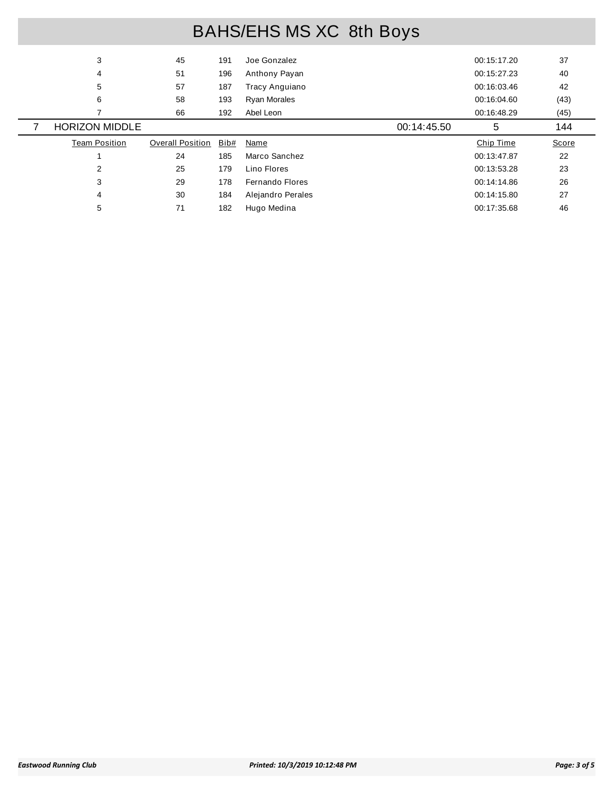| 3                     | 45                      | 191  | Joe Gonzalez        | 00:15:17.20 | 37    |
|-----------------------|-------------------------|------|---------------------|-------------|-------|
| 4                     | 51                      | 196  | Anthony Payan       | 00:15:27.23 | 40    |
| 5                     | 57                      | 187  | Tracy Anguiano      | 00:16:03.46 | 42    |
| 6                     | 58                      | 193  | <b>Ryan Morales</b> | 00:16:04.60 | (43)  |
|                       | 66                      | 192  | Abel Leon           | 00:16:48.29 | (45)  |
| <b>HORIZON MIDDLE</b> |                         |      | 00:14:45.50         | 5           | 144   |
|                       |                         |      |                     |             |       |
| <b>Team Position</b>  | <b>Overall Position</b> | Bib# | Name                | Chip Time   | Score |
|                       | 24                      | 185  | Marco Sanchez       | 00:13:47.87 | 22    |
| 2                     | 25                      | 179  | Lino Flores         | 00:13:53.28 | 23    |
| 3                     | 29                      | 178  | Fernando Flores     | 00:14:14.86 | 26    |
| 4                     | 30                      | 184  | Alejandro Perales   | 00:14:15.80 | 27    |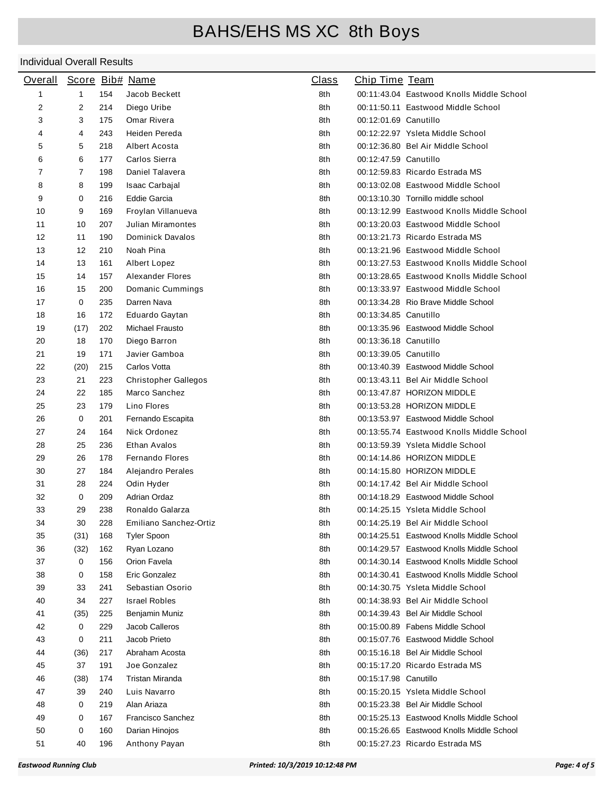| <b>Overall</b> |                |     | Score Bib# Name             | <b>Class</b> | <b>Chip Time Team</b> |                                           |
|----------------|----------------|-----|-----------------------------|--------------|-----------------------|-------------------------------------------|
| 1              | $\mathbf{1}$   | 154 | Jacob Beckett               | 8th          |                       | 00:11:43.04 Eastwood Knolls Middle School |
| 2              | 2              | 214 | Diego Uribe                 | 8th          |                       | 00:11:50.11 Eastwood Middle School        |
| 3              | 3              | 175 | Omar Rivera                 | 8th          | 00:12:01.69 Canutillo |                                           |
| 4              | 4              | 243 | Heiden Pereda               | 8th          |                       | 00:12:22.97 Ysleta Middle School          |
| 5              | 5              | 218 | Albert Acosta               | 8th          |                       | 00:12:36.80 Bel Air Middle School         |
| 6              | 6              | 177 | Carlos Sierra               | 8th          | 00:12:47.59 Canutillo |                                           |
| 7              | $\overline{7}$ | 198 | Daniel Talavera             | 8th          |                       | 00:12:59.83 Ricardo Estrada MS            |
| 8              | 8              | 199 | Isaac Carbajal              | 8th          |                       | 00:13:02.08 Eastwood Middle School        |
| 9              | 0              | 216 | <b>Eddie Garcia</b>         | 8th          |                       | 00:13:10.30 Tornillo middle school        |
| 10             | 9              | 169 | Froylan Villanueva          | 8th          |                       | 00:13:12.99 Eastwood Knolls Middle School |
| 11             | 10             | 207 | Julian Miramontes           | 8th          |                       | 00:13:20.03 Eastwood Middle School        |
| 12             | 11             | 190 | <b>Dominick Davalos</b>     | 8th          |                       | 00:13:21.73 Ricardo Estrada MS            |
| 13             | 12             | 210 | Noah Pina                   | 8th          |                       | 00:13:21.96 Eastwood Middle School        |
| 14             | 13             | 161 | Albert Lopez                | 8th          |                       | 00:13:27.53 Eastwood Knolls Middle School |
| 15             | 14             | 157 | Alexander Flores            | 8th          |                       | 00:13:28.65 Eastwood Knolls Middle School |
| 16             | 15             | 200 | Domanic Cummings            | 8th          |                       | 00:13:33.97 Eastwood Middle School        |
| 17             | 0              | 235 | Darren Nava                 | 8th          |                       | 00:13:34.28 Rio Brave Middle School       |
| 18             | 16             | 172 | Eduardo Gaytan              | 8th          | 00:13:34.85 Canutillo |                                           |
| 19             | (17)           | 202 | Michael Frausto             | 8th          |                       | 00:13:35.96 Eastwood Middle School        |
| 20             | 18             | 170 | Diego Barron                | 8th          | 00:13:36.18 Canutillo |                                           |
| 21             | 19             | 171 | Javier Gamboa               | 8th          | 00:13:39.05 Canutillo |                                           |
| 22             | (20)           | 215 | Carlos Votta                | 8th          |                       | 00:13:40.39 Eastwood Middle School        |
| 23             | 21             | 223 | <b>Christopher Gallegos</b> | 8th          |                       | 00:13:43.11 Bel Air Middle School         |
| 24             | 22             | 185 | Marco Sanchez               | 8th          |                       | 00:13:47.87 HORIZON MIDDLE                |
| 25             | 23             | 179 | Lino Flores                 | 8th          |                       | 00:13:53.28 HORIZON MIDDLE                |
| 26             | 0              | 201 | Fernando Escapita           | 8th          |                       | 00:13:53.97 Eastwood Middle School        |
| 27             | 24             | 164 | Nick Ordonez                | 8th          |                       | 00:13:55.74 Eastwood Knolls Middle School |
| 28             | 25             | 236 | Ethan Avalos                | 8th          |                       | 00:13:59.39 Ysleta Middle School          |
| 29             | 26             | 178 | <b>Fernando Flores</b>      | 8th          |                       | 00:14:14.86 HORIZON MIDDLE                |
| 30             | 27             | 184 | Alejandro Perales           | 8th          |                       | 00:14:15.80 HORIZON MIDDLE                |
| 31             | 28             | 224 | Odin Hyder                  | 8th          |                       | 00:14:17.42 Bel Air Middle School         |
| 32             | $\mathbf 0$    | 209 | <b>Adrian Ordaz</b>         | 8th          |                       | 00:14:18.29 Eastwood Middle School        |
| 33             | 29             | 238 | Ronaldo Galarza             | 8th          |                       | 00:14:25.15 Ysleta Middle School          |
| 34             | $30\,$         | 228 | Emiliano Sanchez-Ortiz      | 8th          |                       | 00:14:25.19 Bel Air Middle School         |
| 35             | (31)           | 168 | <b>Tyler Spoon</b>          | 8th          |                       | 00:14:25.51 Eastwood Knolls Middle School |
| 36             | (32)           | 162 | Ryan Lozano                 | 8th          |                       | 00:14:29.57 Eastwood Knolls Middle School |
| 37             | 0              | 156 | Orion Favela                | 8th          |                       | 00:14:30.14 Eastwood Knolls Middle School |
| 38             | 0              | 158 | Eric Gonzalez               | 8th          |                       | 00:14:30.41 Eastwood Knolls Middle School |
| 39             | 33             | 241 | Sebastian Osorio            | 8th          |                       | 00:14:30.75 Ysleta Middle School          |
| 40             | 34             | 227 | <b>Israel Robles</b>        | 8th          |                       | 00:14:38.93 Bel Air Middle School         |
| 41             | (35)           | 225 | Benjamin Muniz              | 8th          |                       | 00:14:39.43 Bel Air Middle School         |
| 42             | 0              | 229 | Jacob Calleros              | 8th          |                       | 00:15:00.89 Fabens Middle School          |
| 43             | 0              | 211 | Jacob Prieto                | 8th          |                       | 00:15:07.76 Eastwood Middle School        |
| 44             | (36)           | 217 | Abraham Acosta              | 8th          |                       | 00:15:16.18 Bel Air Middle School         |
| 45             | 37             | 191 | Joe Gonzalez                | 8th          |                       | 00:15:17.20 Ricardo Estrada MS            |
| 46             | (38)           | 174 | Tristan Miranda             | 8th          | 00:15:17.98 Canutillo |                                           |
| 47             | 39             | 240 | Luis Navarro                | 8th          |                       | 00:15:20.15 Ysleta Middle School          |
| 48             | 0              | 219 | Alan Ariaza                 | 8th          |                       | 00:15:23.38 Bel Air Middle School         |
| 49             | 0              | 167 | Francisco Sanchez           | 8th          |                       | 00:15:25.13 Eastwood Knolls Middle School |
| 50             | 0              | 160 | Darian Hinojos              | 8th          |                       | 00:15:26.65 Eastwood Knolls Middle School |
| 51             | 40             | 196 | Anthony Payan               | 8th          |                       | 00:15:27.23 Ricardo Estrada MS            |